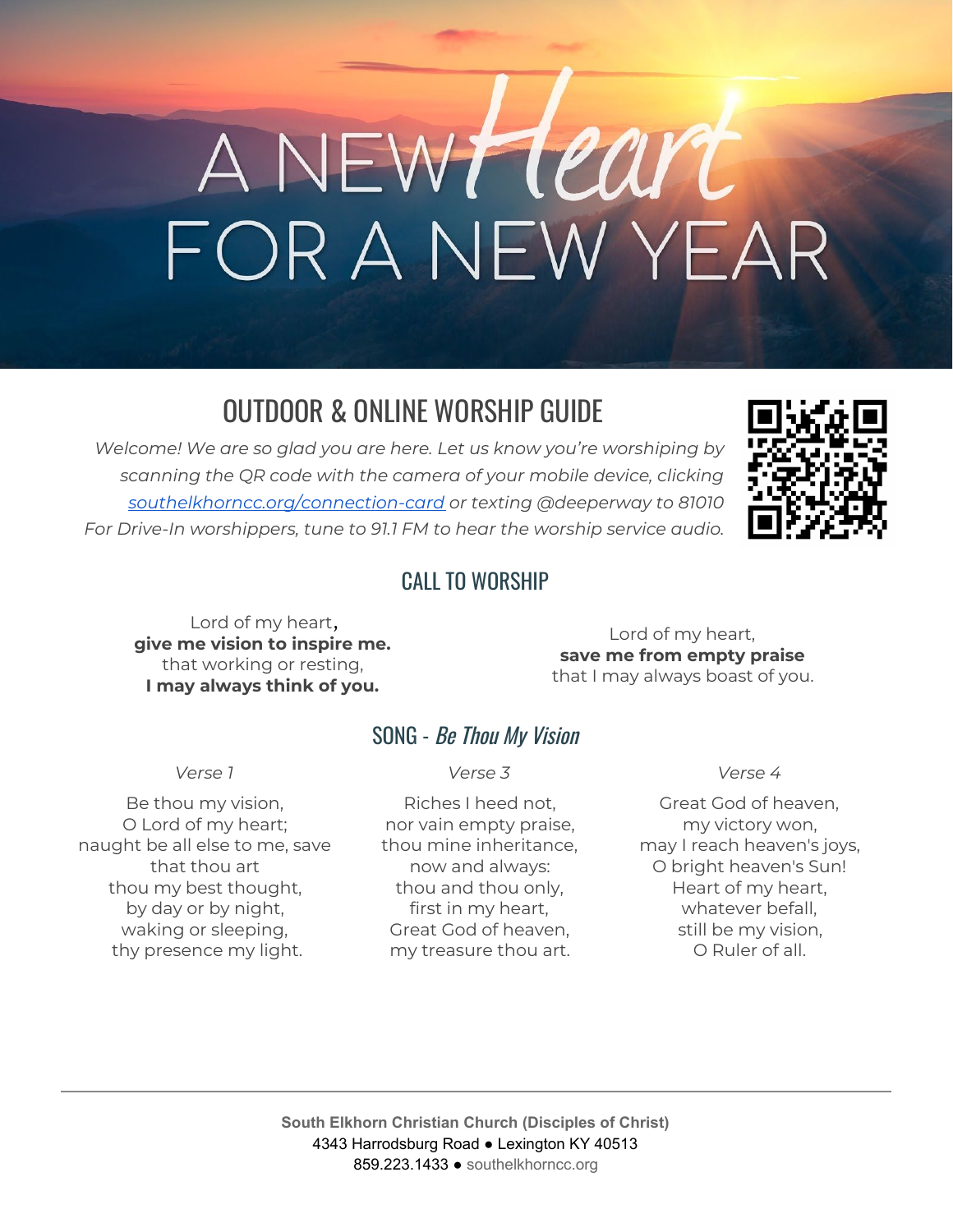# ANEWHeart<br>FOR A NEW YEAR

# OUTDOOR & ONLINE WORSHIP GUIDE

*Welcome! We are so glad you are here. Let us know you're worshiping by scanning the QR code with the camera of your mobile device, clicking [southelkhorncc.org/connection-card](https://www.southelkhorncc.org/connection-card) or texting @deeperway to 81010 For Drive-In worshippers, tune to 91.1 FM to hear the worship service audio.*



#### CALL TO WORSHIP

Lord of my heart, **give me vision to inspire me.** that working or resting, **I may always think of you.**

Lord of my heart, **save me from empty praise** that I may always boast of you.

#### SONG - Be Thou My Vision

Be thou my vision, O Lord of my heart; naught be all else to me, save that thou art thou my best thought, by day or by night, waking or sleeping, thy presence my light.

#### *Verse 1 Verse 3 Verse 4*

Riches I heed not, nor vain empty praise, thou mine inheritance, now and always: thou and thou only, first in my heart, Great God of heaven, my treasure thou art.

Great God of heaven, my victory won, may I reach heaven's joys, O bright heaven's Sun! Heart of my heart, whatever befall, still be my vision, O Ruler of all.